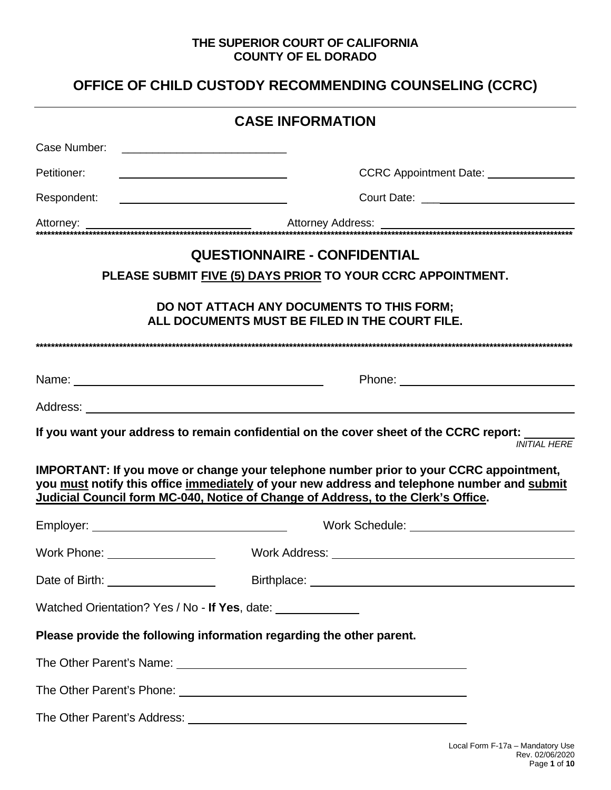### THE SUPERIOR COURT OF CALIFORNIA **COUNTY OF EL DORADO**

# OFFICE OF CHILD CUSTODY RECOMMENDING COUNSELING (CCRC)

|                                    | <b>CASE INFORMATION</b>                                                                                                                                                                                                                                                           |
|------------------------------------|-----------------------------------------------------------------------------------------------------------------------------------------------------------------------------------------------------------------------------------------------------------------------------------|
| Case Number:                       |                                                                                                                                                                                                                                                                                   |
| Petitioner:                        | CCRC Appointment Date: _________________<br>the contract of the contract of the contract of the contract of the contract of                                                                                                                                                       |
| Respondent:                        | <u> 1989 - Johann Barn, mars ann an Catharin ann an t-Iomraidh ann an t-Iomraidh ann an t-Iomraidh ann an t-Iomrai</u>                                                                                                                                                            |
|                                    |                                                                                                                                                                                                                                                                                   |
|                                    | <b>QUESTIONNAIRE - CONFIDENTIAL</b>                                                                                                                                                                                                                                               |
|                                    | PLEASE SUBMIT FIVE (5) DAYS PRIOR TO YOUR CCRC APPOINTMENT.                                                                                                                                                                                                                       |
|                                    | DO NOT ATTACH ANY DOCUMENTS TO THIS FORM;<br>ALL DOCUMENTS MUST BE FILED IN THE COURT FILE.                                                                                                                                                                                       |
|                                    |                                                                                                                                                                                                                                                                                   |
|                                    | Phone: <u>www.community.com</u>                                                                                                                                                                                                                                                   |
|                                    |                                                                                                                                                                                                                                                                                   |
|                                    | If you want your address to remain confidential on the cover sheet of the CCRC report:<br><b>INITIAL HERE</b>                                                                                                                                                                     |
|                                    | <b>IMPORTANT: If you move or change your telephone number prior to your CCRC appointment,</b><br>you must notify this office immediately of your new address and telephone number and submit<br>Judicial Council form MC-040, Notice of Change of Address, to the Clerk's Office. |
|                                    |                                                                                                                                                                                                                                                                                   |
|                                    |                                                                                                                                                                                                                                                                                   |
| Date of Birth: ___________________ |                                                                                                                                                                                                                                                                                   |
|                                    | Watched Orientation? Yes / No - If Yes, date: ______________                                                                                                                                                                                                                      |
|                                    | Please provide the following information regarding the other parent.                                                                                                                                                                                                              |
|                                    |                                                                                                                                                                                                                                                                                   |
|                                    |                                                                                                                                                                                                                                                                                   |
|                                    |                                                                                                                                                                                                                                                                                   |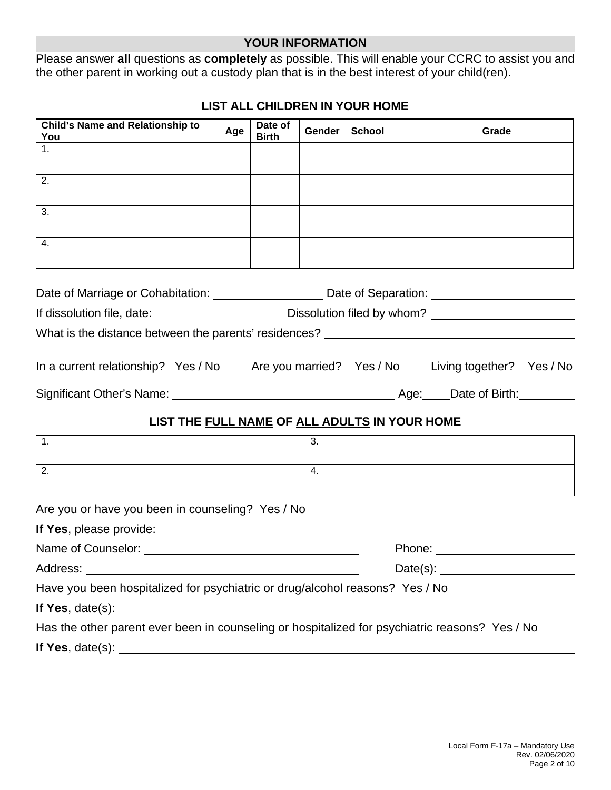### **YOUR INFORMATION**

Please answer **all** questions as **completely** as possible. This will enable your CCRC to assist you and the other parent in working out a custody plan that is in the best interest of your child(ren).

| Child's Name and Relationship to<br>You                                                                                                                                                                                       | Age | Date of<br><b>Birth</b> | Gender | <b>School</b>                                 | Grade    |
|-------------------------------------------------------------------------------------------------------------------------------------------------------------------------------------------------------------------------------|-----|-------------------------|--------|-----------------------------------------------|----------|
| 1.                                                                                                                                                                                                                            |     |                         |        |                                               |          |
| 2.                                                                                                                                                                                                                            |     |                         |        |                                               |          |
| 3.                                                                                                                                                                                                                            |     |                         |        |                                               |          |
| 4.                                                                                                                                                                                                                            |     |                         |        |                                               |          |
| Date of Marriage or Cohabitation: ________________________Date of Separation: _______________________________                                                                                                                 |     |                         |        |                                               |          |
| If dissolution file, date:                                                                                                                                                                                                    |     |                         |        |                                               |          |
| What is the distance between the parents' residences?<br>What is the distance between the parents' residences?                                                                                                                |     |                         |        |                                               |          |
| In a current relationship? Yes / No Are you married? Yes / No Living together? Yes / No                                                                                                                                       |     |                         |        |                                               |          |
|                                                                                                                                                                                                                               |     |                         |        |                                               |          |
|                                                                                                                                                                                                                               |     |                         |        | LIST THE FULL NAME OF ALL ADULTS IN YOUR HOME |          |
| 1.                                                                                                                                                                                                                            |     |                         | 3.     |                                               |          |
| $\overline{2}$ .                                                                                                                                                                                                              |     |                         | 4.     |                                               |          |
| Are you or have you been in counseling? Yes / No                                                                                                                                                                              |     |                         |        |                                               |          |
| If Yes, please provide:                                                                                                                                                                                                       |     |                         |        |                                               |          |
|                                                                                                                                                                                                                               |     |                         |        | Phone: <u>_________</u>                       |          |
|                                                                                                                                                                                                                               |     |                         |        |                                               | Date(s): |
| Have you been hospitalized for psychiatric or drug/alcohol reasons? Yes / No                                                                                                                                                  |     |                         |        |                                               |          |
|                                                                                                                                                                                                                               |     |                         |        |                                               |          |
| Has the other parent ever been in counseling or hospitalized for psychiatric reasons? Yes / No                                                                                                                                |     |                         |        |                                               |          |
| If Yes, date(s): example and a set of the set of the set of the set of the set of the set of the set of the set of the set of the set of the set of the set of the set of the set of the set of the set of the set of the set |     |                         |        |                                               |          |

# **LIST ALL CHILDREN IN YOUR HOME**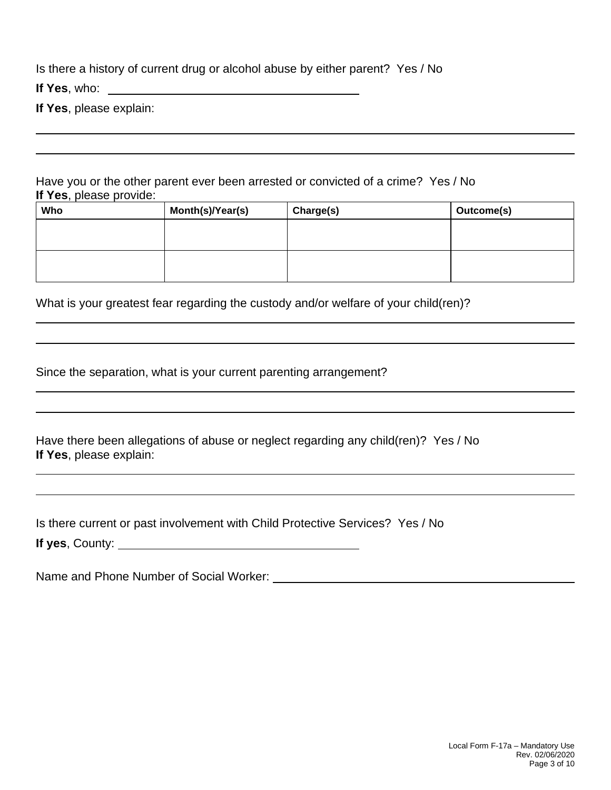Is there a history of current drug or alcohol abuse by either parent? Yes / No

**If Yes**, who:

**If Yes**, please explain:

Have you or the other parent ever been arrested or convicted of a crime? Yes / No **If Yes**, please provide:

| Who | Month(s)/Year(s) | Charge(s) | Outcome(s) |
|-----|------------------|-----------|------------|
|     |                  |           |            |
|     |                  |           |            |
|     |                  |           |            |
|     |                  |           |            |

What is your greatest fear regarding the custody and/or welfare of your child(ren)?

Since the separation, what is your current parenting arrangement?

Have there been allegations of abuse or neglect regarding any child(ren)? Yes / No **If Yes**, please explain:

Is there current or past involvement with Child Protective Services? Yes / No

**If yes**, County:

Name and Phone Number of Social Worker: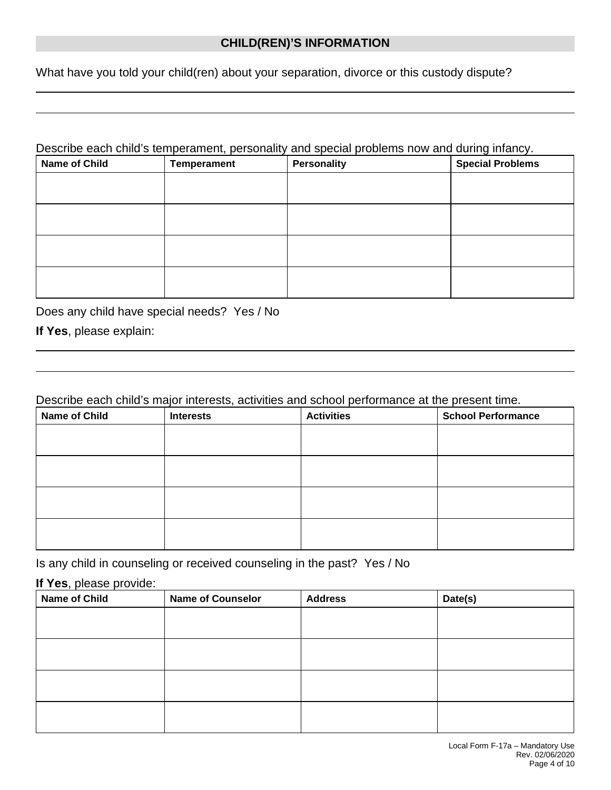# **CHILD(REN)'S INFORMATION**

What have you told your child(ren) about your separation, divorce or this custody dispute?

#### Describe each child's temperament, personality and special problems now and during infancy.

| <b>Name of Child</b> | Temperament | <b>Personality</b> | <b>Special Problems</b> |
|----------------------|-------------|--------------------|-------------------------|
|                      |             |                    |                         |
|                      |             |                    |                         |
|                      |             |                    |                         |
|                      |             |                    |                         |
|                      |             |                    |                         |
|                      |             |                    |                         |
|                      |             |                    |                         |
|                      |             |                    |                         |

Does any child have special needs? Yes / No

**If Yes**, please explain:

### Describe each child's major interests, activities and school performance at the present time.

| <b>Name of Child</b> | <b>Interests</b> | <b>Activities</b> | <b>School Performance</b> |
|----------------------|------------------|-------------------|---------------------------|
|                      |                  |                   |                           |
|                      |                  |                   |                           |
|                      |                  |                   |                           |
|                      |                  |                   |                           |
|                      |                  |                   |                           |
|                      |                  |                   |                           |
|                      |                  |                   |                           |
|                      |                  |                   |                           |

Is any child in counseling or received counseling in the past? Yes / No

#### **If Yes**, please provide:

| <b>Name of Child</b> | <b>Name of Counselor</b> | <b>Address</b> | Date(s) |
|----------------------|--------------------------|----------------|---------|
|                      |                          |                |         |
|                      |                          |                |         |
|                      |                          |                |         |
|                      |                          |                |         |
|                      |                          |                |         |
|                      |                          |                |         |
|                      |                          |                |         |
|                      |                          |                |         |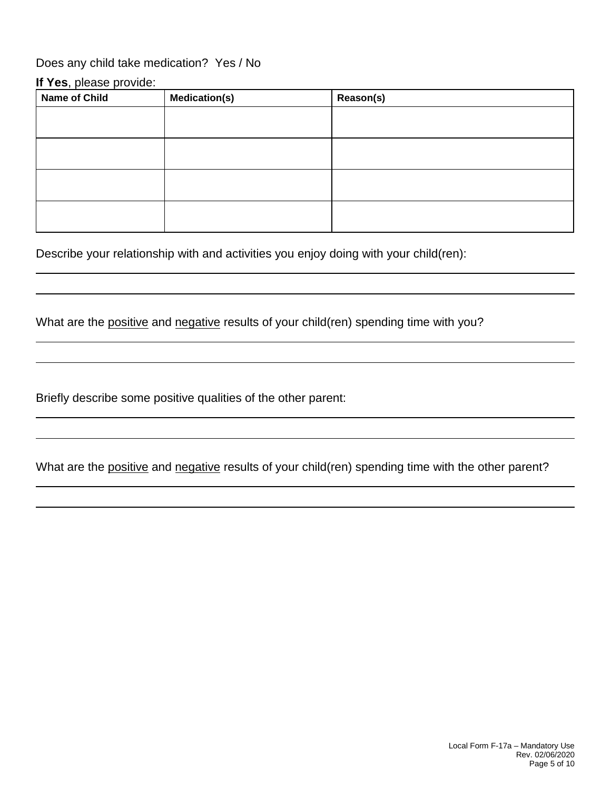# Does any child take medication? Yes / No

#### **If Yes**, please provide:

| <b>Name of Child</b> | <b>Medication(s)</b> | Reason(s) |
|----------------------|----------------------|-----------|
|                      |                      |           |
|                      |                      |           |
|                      |                      |           |
|                      |                      |           |
|                      |                      |           |
|                      |                      |           |
|                      |                      |           |
|                      |                      |           |

Describe your relationship with and activities you enjoy doing with your child(ren):

What are the positive and negative results of your child(ren) spending time with you?

Briefly describe some positive qualities of the other parent:

What are the positive and negative results of your child(ren) spending time with the other parent?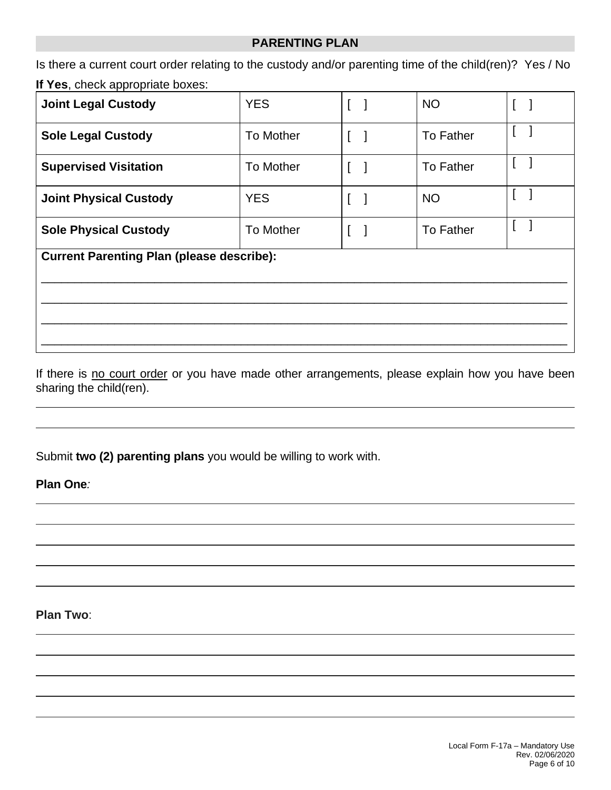#### **PARENTING PLAN**

Is there a current court order relating to the custody and/or parenting time of the child(ren)? Yes / No

# **If Yes**, check appropriate boxes:

| <b>Joint Legal Custody</b>                       | <b>YES</b>       | L | <b>NO</b>        |  |  |  |
|--------------------------------------------------|------------------|---|------------------|--|--|--|
| <b>Sole Legal Custody</b>                        | To Mother        | I | To Father        |  |  |  |
| <b>Supervised Visitation</b>                     | To Mother        | L | <b>To Father</b> |  |  |  |
| <b>Joint Physical Custody</b>                    | <b>YES</b>       | I | <b>NO</b>        |  |  |  |
| <b>Sole Physical Custody</b>                     | <b>To Mother</b> | L | <b>To Father</b> |  |  |  |
| <b>Current Parenting Plan (please describe):</b> |                  |   |                  |  |  |  |
|                                                  |                  |   |                  |  |  |  |

If there is no court order or you have made other arrangements, please explain how you have been sharing the child(ren).

Submit **two (2) parenting plans** you would be willing to work with.

**Plan One***:*

 $\overline{a}$ 

 $\overline{a}$ 

 $\overline{a}$ 

**Plan Two**:

 $\overline{a}$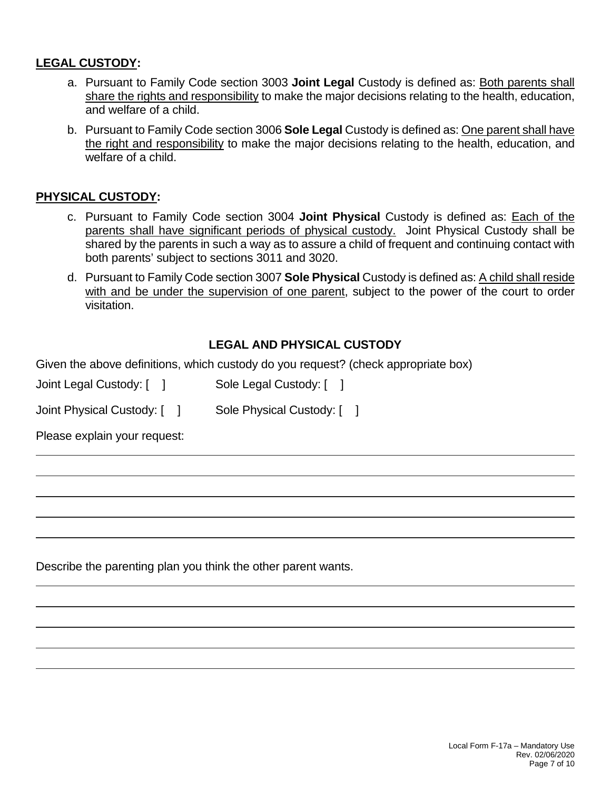### **LEGAL CUSTODY:**

- a. Pursuant to Family Code section 3003 **Joint Legal** Custody is defined as: Both parents shall share the rights and responsibility to make the major decisions relating to the health, education, and welfare of a child.
- b. Pursuant to Family Code section 3006 **Sole Legal** Custody is defined as: One parent shall have the right and responsibility to make the major decisions relating to the health, education, and welfare of a child.

### **PHYSICAL CUSTODY:**

- c. Pursuant to Family Code section 3004 **Joint Physical** Custody is defined as: Each of the parents shall have significant periods of physical custody. Joint Physical Custody shall be shared by the parents in such a way as to assure a child of frequent and continuing contact with both parents' subject to sections 3011 and 3020.
- d. Pursuant to Family Code section 3007 **Sole Physical** Custody is defined as: A child shall reside with and be under the supervision of one parent, subject to the power of the court to order visitation.

# **LEGAL AND PHYSICAL CUSTODY**

Given the above definitions, which custody do you request? (check appropriate box)

| Joint Legal Custody: [ | Sole Legal Custody: [ ] |  |
|------------------------|-------------------------|--|
|------------------------|-------------------------|--|

Joint Physical Custody: [ ] Sole Physical Custody: [ ]

Please explain your request:

 $\overline{a}$ 

 $\overline{a}$ 

 $\overline{a}$ 

 $\overline{a}$ 

Describe the parenting plan you think the other parent wants.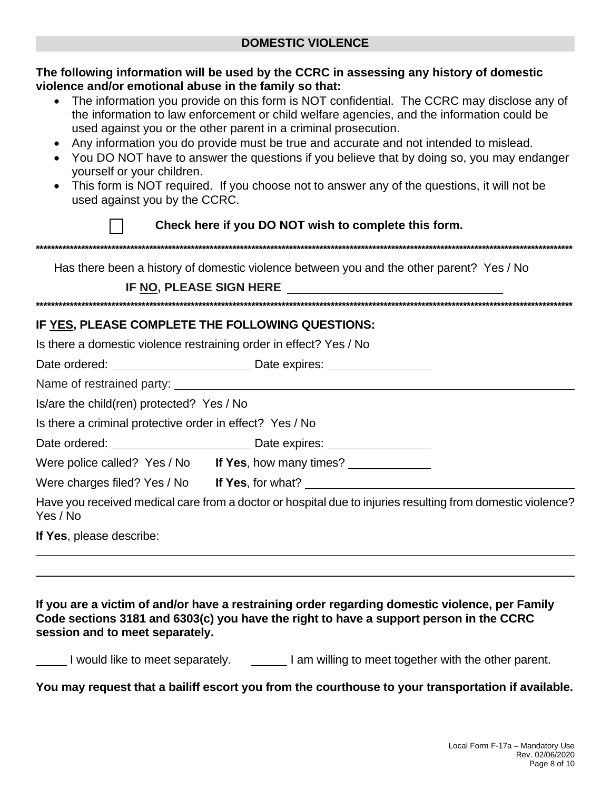| The following information will be used by the CCRC in assessing any history of domestic<br>violence and/or emotional abuse in the family so that:<br>• The information you provide on this form is NOT confidential. The CCRC may disclose any of<br>the information to law enforcement or child welfare agencies, and the information could be<br>used against you or the other parent in a criminal prosecution.<br>Any information you do provide must be true and accurate and not intended to mislead.<br>• You DO NOT have to answer the questions if you believe that by doing so, you may endanger<br>yourself or your children.<br>• This form is NOT required. If you choose not to answer any of the questions, it will not be<br>used against you by the CCRC. |
|----------------------------------------------------------------------------------------------------------------------------------------------------------------------------------------------------------------------------------------------------------------------------------------------------------------------------------------------------------------------------------------------------------------------------------------------------------------------------------------------------------------------------------------------------------------------------------------------------------------------------------------------------------------------------------------------------------------------------------------------------------------------------|
| Check here if you DO NOT wish to complete this form.                                                                                                                                                                                                                                                                                                                                                                                                                                                                                                                                                                                                                                                                                                                       |
|                                                                                                                                                                                                                                                                                                                                                                                                                                                                                                                                                                                                                                                                                                                                                                            |
| Has there been a history of domestic violence between you and the other parent? Yes / No                                                                                                                                                                                                                                                                                                                                                                                                                                                                                                                                                                                                                                                                                   |
| IF NO, PLEASE SIGN HERE <b>No. 1998</b>                                                                                                                                                                                                                                                                                                                                                                                                                                                                                                                                                                                                                                                                                                                                    |
|                                                                                                                                                                                                                                                                                                                                                                                                                                                                                                                                                                                                                                                                                                                                                                            |
| IF YES, PLEASE COMPLETE THE FOLLOWING QUESTIONS:                                                                                                                                                                                                                                                                                                                                                                                                                                                                                                                                                                                                                                                                                                                           |
| Is there a domestic violence restraining order in effect? Yes / No                                                                                                                                                                                                                                                                                                                                                                                                                                                                                                                                                                                                                                                                                                         |
|                                                                                                                                                                                                                                                                                                                                                                                                                                                                                                                                                                                                                                                                                                                                                                            |
|                                                                                                                                                                                                                                                                                                                                                                                                                                                                                                                                                                                                                                                                                                                                                                            |
| Is/are the child(ren) protected? Yes / No                                                                                                                                                                                                                                                                                                                                                                                                                                                                                                                                                                                                                                                                                                                                  |
| Is there a criminal protective order in effect? Yes / No                                                                                                                                                                                                                                                                                                                                                                                                                                                                                                                                                                                                                                                                                                                   |
|                                                                                                                                                                                                                                                                                                                                                                                                                                                                                                                                                                                                                                                                                                                                                                            |
| Were police called? Yes / No If Yes, how many times? _____________                                                                                                                                                                                                                                                                                                                                                                                                                                                                                                                                                                                                                                                                                                         |
| Were charges filed? Yes / No If Yes, for what? _________________________________                                                                                                                                                                                                                                                                                                                                                                                                                                                                                                                                                                                                                                                                                           |
| Have you received medical care from a doctor or hospital due to injuries resulting from domestic violence?<br>Yes / No                                                                                                                                                                                                                                                                                                                                                                                                                                                                                                                                                                                                                                                     |
| If Yes, please describe:                                                                                                                                                                                                                                                                                                                                                                                                                                                                                                                                                                                                                                                                                                                                                   |

If you are a victim of and/or have a restraining order regarding domestic violence, per Family Code sections 3181 and 6303(c) you have the right to have a support person in the CCRC session and to meet separately.

I would like to meet separately. I am willing to meet together with the other parent.

You may request that a bailiff escort you from the courthouse to your transportation if available.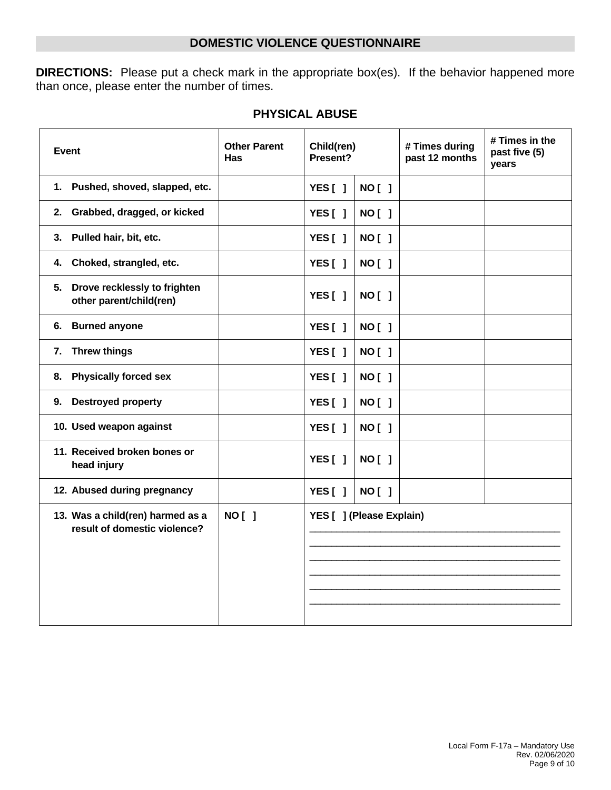# **DOMESTIC VIOLENCE QUESTIONNAIRE**

**DIRECTIONS:** Please put a check mark in the appropriate box(es). If the behavior happened more than once, please enter the number of times.

| <b>Event</b>                                                     | <b>Other Parent</b><br>Has | Child(ren)<br>Present?   |               | # Times during<br>past 12 months | # Times in the<br>past five (5)<br>years |
|------------------------------------------------------------------|----------------------------|--------------------------|---------------|----------------------------------|------------------------------------------|
| Pushed, shoved, slapped, etc.<br>1.                              |                            | YES[]                    | <b>NO [ ]</b> |                                  |                                          |
| Grabbed, dragged, or kicked<br>2.                                |                            | YES[]                    | <b>NO [ ]</b> |                                  |                                          |
| Pulled hair, bit, etc.<br>3.                                     |                            | YES[]                    | <b>NO [ ]</b> |                                  |                                          |
| Choked, strangled, etc.<br>4.                                    |                            | YES[]                    | <b>NO [ ]</b> |                                  |                                          |
| Drove recklessly to frighten<br>5.<br>other parent/child(ren)    |                            | YES[]                    | <b>NO [ ]</b> |                                  |                                          |
| <b>Burned anyone</b><br>6.                                       |                            | YES[]                    | <b>NO [ ]</b> |                                  |                                          |
| <b>Threw things</b><br>7.                                        |                            | YES[]                    | <b>NO[ ]</b>  |                                  |                                          |
| <b>Physically forced sex</b><br>8.                               |                            | YES[]                    | <b>NO[ ]</b>  |                                  |                                          |
| <b>Destroyed property</b><br>9.                                  |                            | YES[]                    | <b>NO[ ]</b>  |                                  |                                          |
| 10. Used weapon against                                          |                            | YES[]                    | <b>NO[ ]</b>  |                                  |                                          |
| 11. Received broken bones or<br>head injury                      |                            | YES[]                    | <b>NO [ ]</b> |                                  |                                          |
| 12. Abused during pregnancy                                      |                            | YES $[ ]$                | <b>NO[ ]</b>  |                                  |                                          |
| 13. Was a child(ren) harmed as a<br>result of domestic violence? | <b>NO [ ]</b>              | YES [ ] (Please Explain) |               |                                  |                                          |

# **PHYSICAL ABUSE**